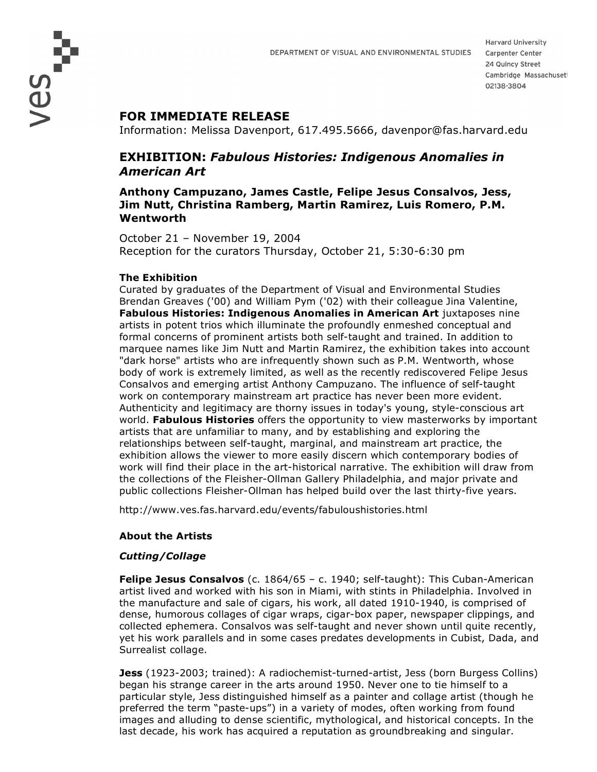# **FOR IMMEDIATE RELEASE**

Information: Melissa Davenport, 617.495.5666, davenpor@fas.harvard.edu

# **EXHIBITION:** *Fabulous Histories: Indigenous Anomalies in American Art*

## **Anthony Campuzano, James Castle, Felipe Jesus Consalvos, Jess, Jim Nutt, Christina Ramberg, Martin Ramirez, Luis Romero, P.M. Wentworth**

October 21 – November 19, 2004 Reception for the curators Thursday, October 21, 5:30-6:30 pm

### **The Exhibition**

Curated by graduates of the Department of Visual and Environmental Studies Brendan Greaves ('00) and William Pym ('02) with their colleague Jina Valentine, **Fabulous Histories: Indigenous Anomalies in American Art** juxtaposes nine artists in potent trios which illuminate the profoundly enmeshed conceptual and formal concerns of prominent artists both self-taught and trained. In addition to marquee names like Jim Nutt and Martin Ramirez, the exhibition takes into account "dark horse" artists who are infrequently shown such as P.M. Wentworth, whose body of work is extremely limited, as well as the recently rediscovered Felipe Jesus Consalvos and emerging artist Anthony Campuzano. The influence of self-taught work on contemporary mainstream art practice has never been more evident. Authenticity and legitimacy are thorny issues in today's young, style-conscious art world. **Fabulous Histories** offers the opportunity to view masterworks by important artists that are unfamiliar to many, and by establishing and exploring the relationships between self-taught, marginal, and mainstream art practice, the exhibition allows the viewer to more easily discern which contemporary bodies of work will find their place in the art-historical narrative. The exhibition will draw from the collections of the Fleisher-Ollman Gallery Philadelphia, and major private and public collections Fleisher-Ollman has helped build over the last thirty-five years.

http://www.ves.fas.harvard.edu/events/fabuloushistories.html

### **About the Artists**

### *Cutting/Collage*

**Felipe Jesus Consalvos** (c. 1864/65 – c. 1940; self-taught): This Cuban-American artist lived and worked with his son in Miami, with stints in Philadelphia. Involved in the manufacture and sale of cigars, his work, all dated 1910-1940, is comprised of dense, humorous collages of cigar wraps, cigar-box paper, newspaper clippings, and collected ephemera. Consalvos was self-taught and never shown until quite recently, yet his work parallels and in some cases predates developments in Cubist, Dada, and Surrealist collage.

**Jess** (1923-2003; trained): A radiochemist-turned-artist, Jess (born Burgess Collins) began his strange career in the arts around 1950. Never one to tie himself to a particular style, Jess distinguished himself as a painter and collage artist (though he preferred the term "paste-ups") in a variety of modes, often working from found images and alluding to dense scientific, mythological, and historical concepts. In the last decade, his work has acquired a reputation as groundbreaking and singular.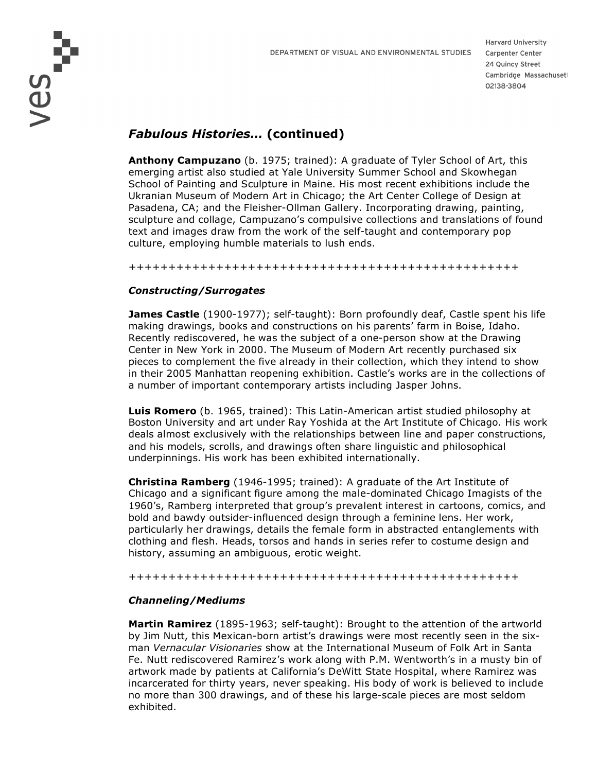DEPARTMENT OF VISUAL AND ENVIRONMENTAL STUDIES

ves<br>Ves

**Harvard University** Carpenter Center 24 Quincy Street Cambridge Massachuset 02138-3804

# *Fabulous Histories…* **(continued)**

**Anthony Campuzano** (b. 1975; trained): A graduate of Tyler School of Art, this emerging artist also studied at Yale University Summer School and Skowhegan School of Painting and Sculpture in Maine. His most recent exhibitions include the Ukranian Museum of Modern Art in Chicago; the Art Center College of Design at Pasadena, CA; and the Fleisher-Ollman Gallery. Incorporating drawing, painting, sculpture and collage, Campuzano's compulsive collections and translations of found text and images draw from the work of the self-taught and contemporary pop culture, employing humble materials to lush ends.

+++++++++++++++++++++++++++++++++++++++++++++++++

#### *Constructing/Surrogates*

**James Castle** (1900-1977); self-taught): Born profoundly deaf, Castle spent his life making drawings, books and constructions on his parents' farm in Boise, Idaho. Recently rediscovered, he was the subject of a one-person show at the Drawing Center in New York in 2000. The Museum of Modern Art recently purchased six pieces to complement the five already in their collection, which they intend to show in their 2005 Manhattan reopening exhibition. Castle's works are in the collections of a number of important contemporary artists including Jasper Johns.

**Luis Romero** (b. 1965, trained): This Latin-American artist studied philosophy at Boston University and art under Ray Yoshida at the Art Institute of Chicago. His work deals almost exclusively with the relationships between line and paper constructions, and his models, scrolls, and drawings often share linguistic and philosophical underpinnings. His work has been exhibited internationally.

**Christina Ramberg** (1946-1995; trained): A graduate of the Art Institute of Chicago and a significant figure among the male-dominated Chicago Imagists of the 1960's, Ramberg interpreted that group's prevalent interest in cartoons, comics, and bold and bawdy outsider-influenced design through a feminine lens. Her work, particularly her drawings, details the female form in abstracted entanglements with clothing and flesh. Heads, torsos and hands in series refer to costume design and history, assuming an ambiguous, erotic weight.

+++++++++++++++++++++++++++++++++++++++++++++++++

#### *Channeling/Mediums*

**Martin Ramirez** (1895-1963; self-taught): Brought to the attention of the artworld by Jim Nutt, this Mexican-born artist's drawings were most recently seen in the sixman *Vernacular Visionaries* show at the International Museum of Folk Art in Santa Fe. Nutt rediscovered Ramirez's work along with P.M. Wentworth's in a musty bin of artwork made by patients at California's DeWitt State Hospital, where Ramirez was incarcerated for thirty years, never speaking. His body of work is believed to include no more than 300 drawings, and of these his large-scale pieces are most seldom exhibited.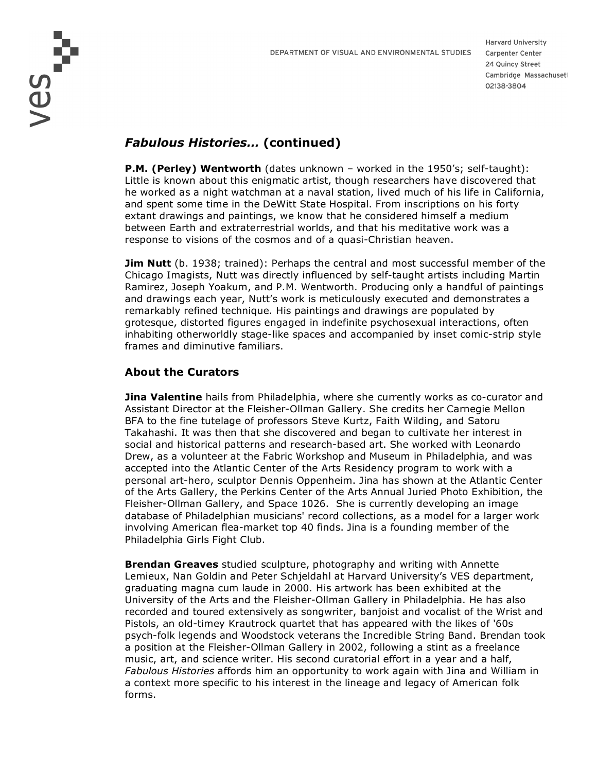DEPARTMENT OF VISUAL AND ENVIRONMENTAL STUDIES

ves<br>ves

**Harvard University** Carpenter Center 24 Quincy Street Cambridge Massachuset 02138-3804

# *Fabulous Histories…* **(continued)**

**P.M. (Perley) Wentworth** (dates unknown – worked in the 1950's; self-taught): Little is known about this enigmatic artist, though researchers have discovered that he worked as a night watchman at a naval station, lived much of his life in California, and spent some time in the DeWitt State Hospital. From inscriptions on his forty extant drawings and paintings, we know that he considered himself a medium between Earth and extraterrestrial worlds, and that his meditative work was a response to visions of the cosmos and of a quasi-Christian heaven.

**Jim Nutt** (b. 1938; trained): Perhaps the central and most successful member of the Chicago Imagists, Nutt was directly influenced by self-taught artists including Martin Ramirez, Joseph Yoakum, and P.M. Wentworth. Producing only a handful of paintings and drawings each year, Nutt's work is meticulously executed and demonstrates a remarkably refined technique. His paintings and drawings are populated by grotesque, distorted figures engaged in indefinite psychosexual interactions, often inhabiting otherworldly stage-like spaces and accompanied by inset comic-strip style frames and diminutive familiars.

## **About the Curators**

**Jina Valentine** hails from Philadelphia, where she currently works as co-curator and Assistant Director at the Fleisher-Ollman Gallery. She credits her Carnegie Mellon BFA to the fine tutelage of professors Steve Kurtz, Faith Wilding, and Satoru Takahashi. It was then that she discovered and began to cultivate her interest in social and historical patterns and research-based art. She worked with Leonardo Drew, as a volunteer at the Fabric Workshop and Museum in Philadelphia, and was accepted into the Atlantic Center of the Arts Residency program to work with a personal art-hero, sculptor Dennis Oppenheim. Jina has shown at the Atlantic Center of the Arts Gallery, the Perkins Center of the Arts Annual Juried Photo Exhibition, the Fleisher-Ollman Gallery, and Space 1026. She is currently developing an image database of Philadelphian musicians' record collections, as a model for a larger work involving American flea-market top 40 finds. Jina is a founding member of the Philadelphia Girls Fight Club.

**Brendan Greaves** studied sculpture, photography and writing with Annette Lemieux, Nan Goldin and Peter Schjeldahl at Harvard University's VES department, graduating magna cum laude in 2000. His artwork has been exhibited at the University of the Arts and the Fleisher-Ollman Gallery in Philadelphia. He has also recorded and toured extensively as songwriter, banjoist and vocalist of the Wrist and Pistols, an old-timey Krautrock quartet that has appeared with the likes of '60s psych-folk legends and Woodstock veterans the Incredible String Band. Brendan took a position at the Fleisher-Ollman Gallery in 2002, following a stint as a freelance music, art, and science writer. His second curatorial effort in a year and a half, *Fabulous Histories* affords him an opportunity to work again with Jina and William in a context more specific to his interest in the lineage and legacy of American folk forms.